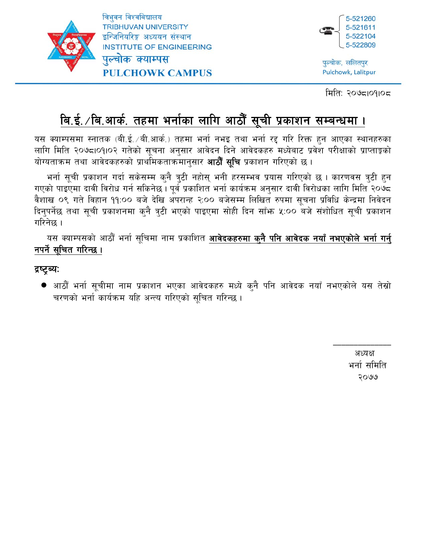

त्रिभवन विश्वविद्यालय **TRIBHUVAN UNIVERSITY** इन्जिनियरिङ्ग अध्ययन संस्थान **INSTITUTE OF ENGINEERING** पल्चोक क्याम्पस **PULCHOWK CAMPUS** 



पुल्चोक, ललितपुर Pulchowk, Lalitpur

मिति: २०७८।०१।०८

# <u>बि.ई. /बि.आर्क. तहमा भर्नाका लागि आठौँ सूची प्रकाशन सम्बन्धमा ।</u>

यस क्याम्पसमा स्नातक (बी.ई. /बी.आर्क.) तहमा भर्ना नभइ तथा भर्ना रद्द गरि रिक्त हुन आएका स्थानहरुका लागि मिति २०७८।०१।०२ गतेको सूचना अनुसार आवेदन दिने आवेदकहरु मध्येबाट प्रवेश परीक्षाको प्राप्ताङ्को योग्यताक्रम तथा आवेदकहरुको प्राथमिकताक्रमानुसार **आठौँ सुचि** प्रकाशन गरिएको छ ।

भर्ना सूची प्रकाशन गर्दा सकेसम्म क्नै त्रुटी नहोस् भनी हरसम्भव प्रयास गरिएको छ । कारणवस त्रुटी हुन गएको पाइएमा दावी विरोध गर्न सकिनेछ । पूर्व प्रकाशित भर्ना कार्यक्रम अनुसार दावी विरोधका लागि मिति २०७८ वैशाख ०९ गते विहान ११:०० बजे देखि अपरान्ह २:०० बजेसम्म लिखित रुपमा सचना प्रविधि केन्द्रमा निवेदन दिनुपर्नेछ तथा सूची प्रकाशनमा कुनै त्रुटी भएको पाइएमा सोही दिन साँफ ५:०० बजे संशोधित सूची प्रकाशन गरिनेछ ।

यस क्याम्पसको आठौँ भर्ना सूचिमा नाम प्रकाशित **आवेदकहरुमा कुनै पनि आवेदक नयाँ नभएकोले भर्ना गर्नु** नपर्ने सूचित गरिन्छ ।

## द्रष्ट्ब्यः

● आठौँ भर्ना सूचीमा नाम प्रकाशन भएका आवेदकहरु मध्ये क्**नै पनि आवेदक नयाँ नभएकोले यस तेस्रो** चरणको भर्ना कार्यक्रम यहि अन्त्य गरिएको सचित गरिन्छ।

> अध्यक्ष भर्ना समिति २०७७